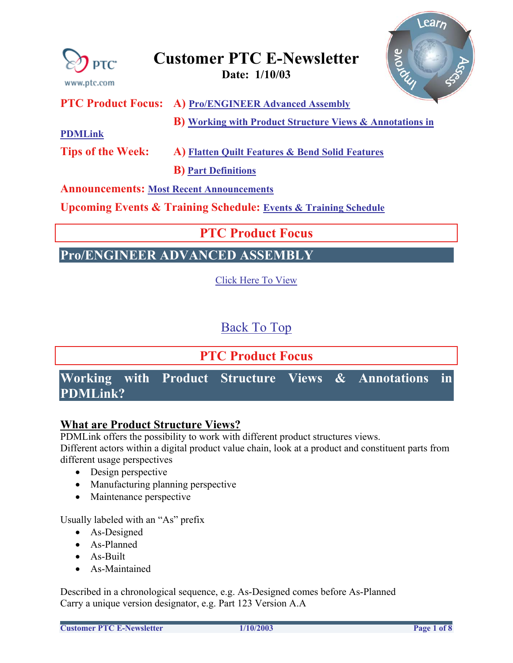

<span id="page-0-0"></span>

### **Customer PTC E-Newsletter Date: 1/10/03**

**PTC Product Focus: A) Pro/ENGINEER Advanced Assembly**

 **B) Working with Product Structure Views & Annotations in** 

**PDMLink**

**Tips of the Week: A) Flatten Quilt Features & Bend Solid Features** 

 **B) Part Definitions**

### **Announcements: Most Recent Announcements**

**Upcoming Events & Training Schedule: Events & Training Schedule**

### **PTC Product Focus**

## **Pro/ENGINEER ADVANCED ASSEMBLY**

Click Here To View

Back To Top

# **PTC Product Focus Working with Product Structure Views & Annotations in PDMLink?**

### **What are Product Structure Views?**

PDMLink offers the possibility to work with different product structures views.

Different actors within a digital product value chain, look at a product and constituent parts from different usage perspectives

- Design perspective
- Manufacturing planning perspective
- Maintenance perspective

Usually labeled with an "As" prefix

- As-Designed
- As-Planned
- As-Built
- As-Maintained

Described in a chronological sequence, e.g. As-Designed comes before As-Planned Carry a unique version designator, e.g. Part 123 Version A.A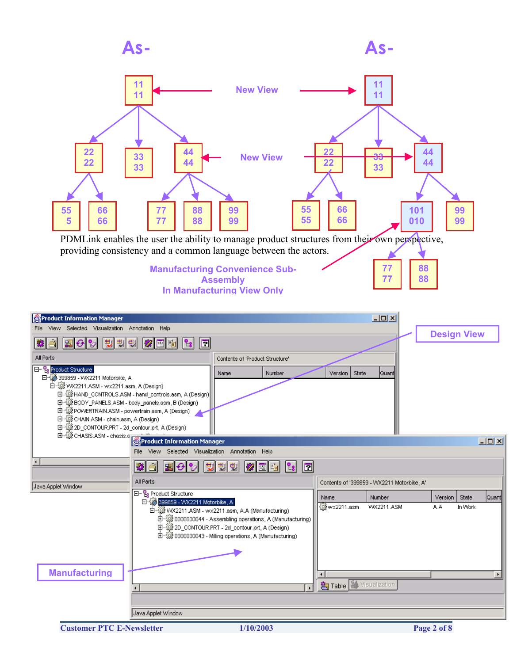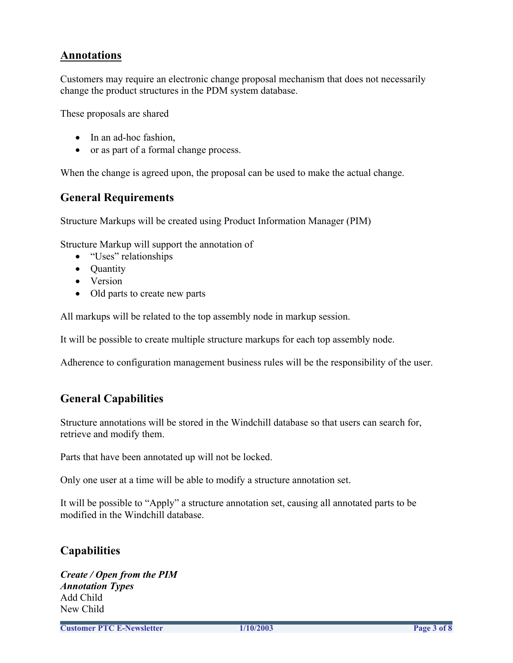### **Annotations**

Customers may require an electronic change proposal mechanism that does not necessarily change the product structures in the PDM system database.

These proposals are shared

- In an ad-hoc fashion,
- or as part of a formal change process.

When the change is agreed upon, the proposal can be used to make the actual change.

### **General Requirements**

Structure Markups will be created using Product Information Manager (PIM)

Structure Markup will support the annotation of

- "Uses" relationships
- **Ouantity**
- Version
- Old parts to create new parts

All markups will be related to the top assembly node in markup session.

It will be possible to create multiple structure markups for each top assembly node.

Adherence to configuration management business rules will be the responsibility of the user.

### **General Capabilities**

Structure annotations will be stored in the Windchill database so that users can search for, retrieve and modify them.

Parts that have been annotated up will not be locked.

Only one user at a time will be able to modify a structure annotation set.

It will be possible to "Apply" a structure annotation set, causing all annotated parts to be modified in the Windchill database.

### **Capabilities**

*Create / Open from the PIM Annotation Types*  Add Child New Child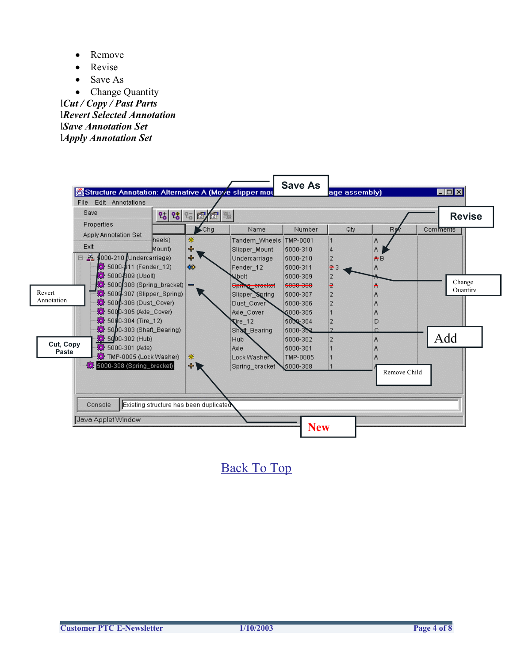- Remove
- **Revise**
- Save As
- Change Quantity

l*Cut / Copy / Past Parts* l*Revert Selected Annotation*  l*Save Annotation Set*  l*Apply Annotation Set*



[Back To Top](#page-0-0)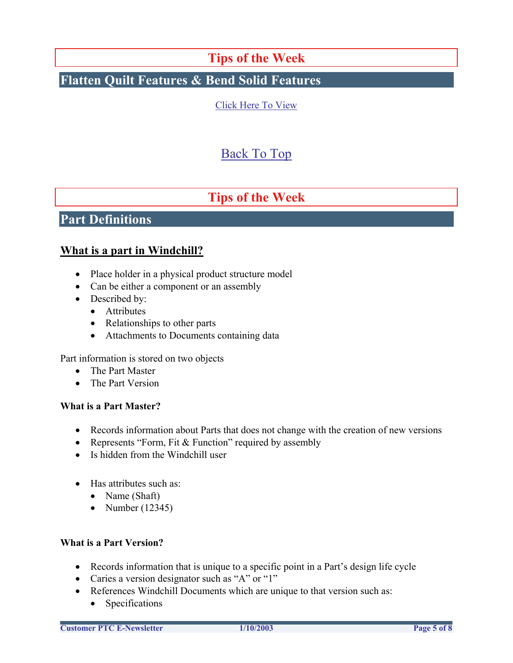### **Tips of the Week**

## **Flatten Quilt Features & Bend Solid Features**

[Click Here To View](http://www.ptc-mss.com/Tutorial/Tip_Tech/Customer PTC E-Newsletter 1-10-2003_A.pdf)

## [Back To Top](#page-0-0)

## **Tips of the Week**

### **Part Definitions**

### **What is a part in Windchill?**

- Place holder in a physical product structure model
- Can be either a component or an assembly
- Described by:
	- Attributes
	- Relationships to other parts
	- Attachments to Documents containing data

Part information is stored on two objects

- The Part Master
- The Part Version

#### **What is a Part Master?**

- Records information about Parts that does not change with the creation of new versions
- Represents "Form, Fit & Function" required by assembly
- Is hidden from the Windchill user
- Has attributes such as:
	- Name (Shaft)
	- Number  $(12345)$

#### **What is a Part Version?**

- Records information that is unique to a specific point in a Part's design life cycle
- Caries a version designator such as "A" or "1"
- References Windchill Documents which are unique to that version such as:
	- Specifications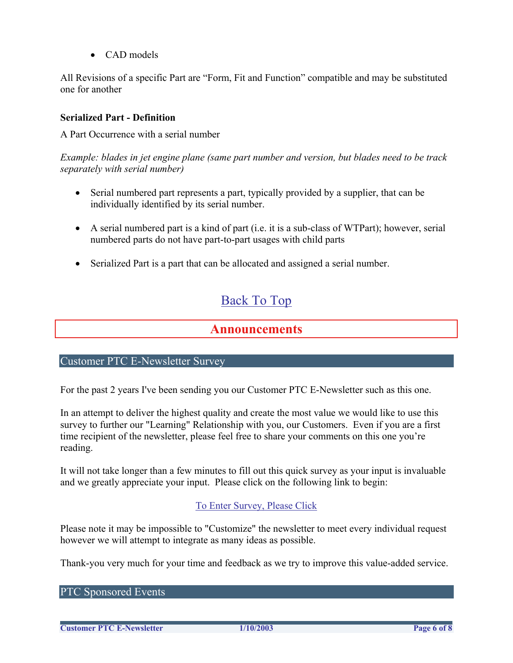• CAD models

All Revisions of a specific Part are "Form, Fit and Function" compatible and may be substituted one for another

#### **Serialized Part - Definition**

A Part Occurrence with a serial number

*Example: blades in jet engine plane (same part number and version, but blades need to be track separately with serial number)*

- Serial numbered part represents a part, typically provided by a supplier, that can be individually identified by its serial number.
- A serial numbered part is a kind of part (i.e. it is a sub-class of WTPart); however, serial numbered parts do not have part-to-part usages with child parts
- Serialized Part is a part that can be allocated and assigned a serial number.

## [Back To Top](#page-0-0)

### **Announcements**

#### Customer PTC E-Newsletter Survey

For the past 2 years I've been sending you our Customer PTC E-Newsletter such as this one.

In an attempt to deliver the highest quality and create the most value we would like to use this survey to further our "Learning" Relationship with you, our Customers. Even if you are a first time recipient of the newsletter, please feel free to share your comments on this one you're reading.

It will not take longer than a few minutes to fill out this quick survey as your input is invaluable and we greatly appreciate your input. Please click on the following link to begin:

### [To Enter Survey, Please Click](http://www.zoomerang.com/survey.zgi?54VBJVHDAQYET9LJJT1DWKC4)

Please note it may be impossible to "Customize" the newsletter to meet every individual request however we will attempt to integrate as many ideas as possible.

Thank-you very much for your time and feedback as we try to improve this value-added service.

PTC Sponsored Events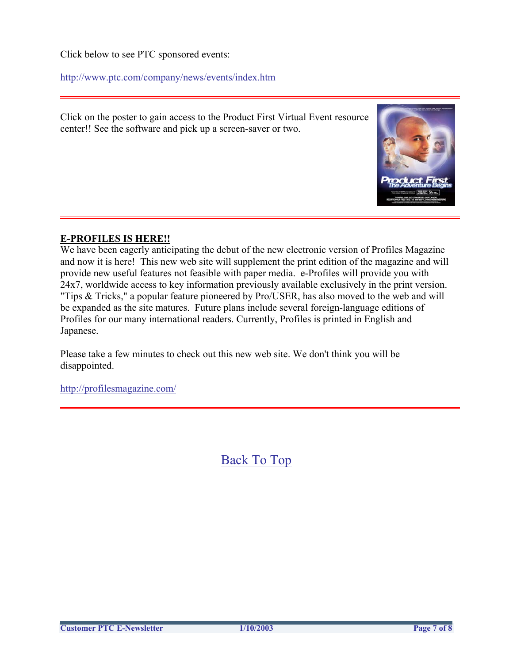Click below to see PTC sponsored events:

<http://www.ptc.com/company/news/events/index.htm>

Click on the poster to gain access to the Product First Virtual Event resource center!! See the software and pick up a screen-saver or two.



#### **E-PROFILES IS HERE!!**

We have been eagerly anticipating the debut of the new electronic version of Profiles Magazine and now it is here! This new web site will supplement the print edition of the magazine and will provide new useful features not feasible with paper media. e-Profiles will provide you with 24x7, worldwide access to key information previously available exclusively in the print version. "Tips & Tricks," a popular feature pioneered by Pro/USER, has also moved to the web and will be expanded as the site matures. Future plans include several foreign-language editions of Profiles for our many international readers. Currently, Profiles is printed in English and Japanese.

Please take a few minutes to check out this new web site. We don't think you will be disappointed.

<http://profilesmagazine.com/>

[Back To Top](#page-0-0)